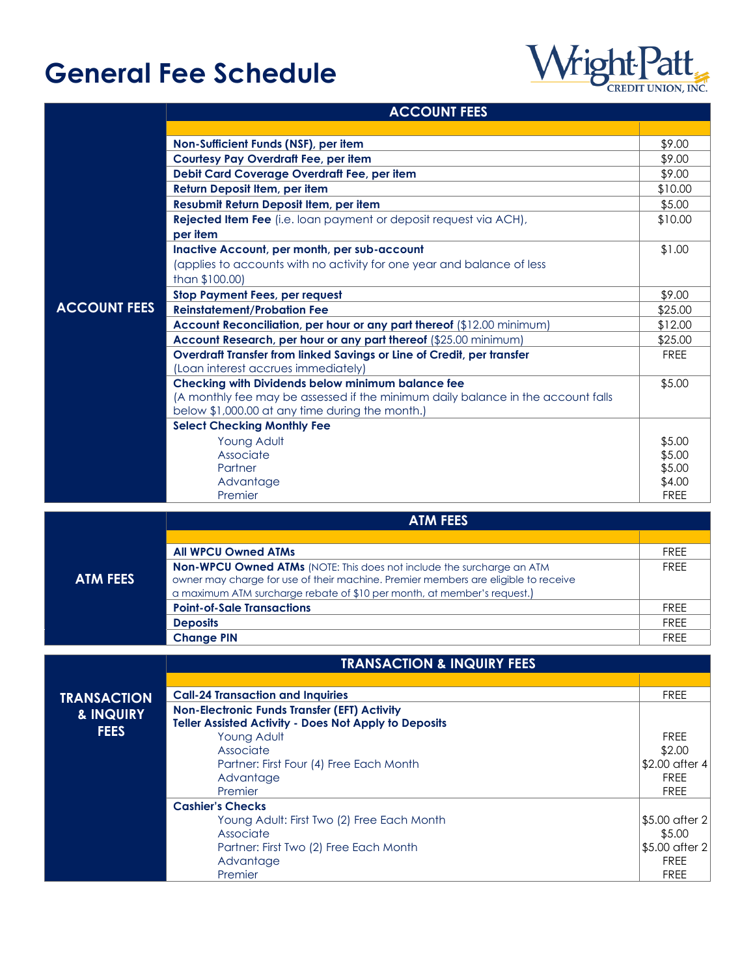## **General Fee Schedule**



\$5.00 after 2 \$5.00 \$5.00 after 2 FREE FREE

## **ACCOUNT FEES**

|                     | ACCOUNI FEES                                                                                                                               |                   |  |  |
|---------------------|--------------------------------------------------------------------------------------------------------------------------------------------|-------------------|--|--|
|                     |                                                                                                                                            |                   |  |  |
|                     | Non-Sufficient Funds (NSF), per item                                                                                                       | \$9.00            |  |  |
|                     | <b>Courtesy Pay Overdraft Fee, per item</b>                                                                                                |                   |  |  |
|                     | Debit Card Coverage Overdraft Fee, per item                                                                                                | \$9.00<br>\$9.00  |  |  |
|                     | Return Deposit Item, per item                                                                                                              |                   |  |  |
|                     | Resubmit Return Deposit Item, per item                                                                                                     | \$10.00<br>\$5.00 |  |  |
|                     | Rejected Item Fee (i.e. loan payment or deposit request via ACH),                                                                          | \$10.00           |  |  |
|                     | per item                                                                                                                                   |                   |  |  |
|                     | Inactive Account, per month, per sub-account                                                                                               | \$1.00            |  |  |
|                     | (applies to accounts with no activity for one year and balance of less                                                                     |                   |  |  |
|                     | than \$100.00)                                                                                                                             |                   |  |  |
|                     | <b>Stop Payment Fees, per request</b>                                                                                                      | \$9.00            |  |  |
| <b>ACCOUNT FEES</b> | <b>Reinstatement/Probation Fee</b>                                                                                                         | \$25.00           |  |  |
|                     |                                                                                                                                            | \$12.00           |  |  |
|                     | Account Reconciliation, per hour or any part thereof (\$12.00 minimum)<br>Account Research, per hour or any part thereof (\$25.00 minimum) | \$25.00           |  |  |
|                     |                                                                                                                                            |                   |  |  |
|                     | Overdraft Transfer from linked Savings or Line of Credit, per transfer<br>(Loan interest accrues immediately)                              | <b>FREE</b>       |  |  |
|                     | Checking with Dividends below minimum balance fee                                                                                          | \$5.00            |  |  |
|                     | (A monthly fee may be assessed if the minimum daily balance in the account falls                                                           |                   |  |  |
|                     | below \$1,000.00 at any time during the month.)                                                                                            |                   |  |  |
|                     | <b>Select Checking Monthly Fee</b>                                                                                                         |                   |  |  |
|                     | Young Adult                                                                                                                                | \$5.00            |  |  |
|                     | Associate                                                                                                                                  | \$5.00            |  |  |
|                     | Partner                                                                                                                                    | \$5.00            |  |  |
|                     | Advantage                                                                                                                                  | \$4.00            |  |  |
|                     | Premier                                                                                                                                    | <b>FREE</b>       |  |  |
|                     |                                                                                                                                            |                   |  |  |
|                     | <b>ATM FEES</b>                                                                                                                            |                   |  |  |
|                     |                                                                                                                                            |                   |  |  |
|                     | <b>All WPCU Owned ATMs</b>                                                                                                                 | <b>FREE</b>       |  |  |
|                     | Non-WPCU Owned ATMs (NOTE: This does not include the surcharge an ATM                                                                      | <b>FREE</b>       |  |  |
| <b>ATM FEES</b>     | owner may charge for use of their machine. Premier members are eligible to receive                                                         |                   |  |  |
|                     | a maximum ATM surcharge rebate of \$10 per month, at member's request.)                                                                    |                   |  |  |
|                     | <b>Point-of-Sale Transactions</b>                                                                                                          | <b>FREE</b>       |  |  |
|                     | <b>Deposits</b>                                                                                                                            | <b>FREE</b>       |  |  |
|                     | <b>Change PIN</b>                                                                                                                          | <b>FREE</b>       |  |  |
|                     | <b>TRANSACTION &amp; INQUIRY FEES</b>                                                                                                      |                   |  |  |
|                     |                                                                                                                                            |                   |  |  |
|                     |                                                                                                                                            | <b>FREE</b>       |  |  |
| <b>TRANSACTION</b>  | <b>Call-24 Transaction and Inquiries</b>                                                                                                   |                   |  |  |
| & INQUIRY           | <b>Non-Electronic Funds Transfer (EFT) Activity</b><br>Teller Assisted Activity - Does Not Apply to Deposits                               |                   |  |  |
| <b>FEES</b>         | Young Adult                                                                                                                                | <b>FREE</b>       |  |  |
|                     | Associate                                                                                                                                  | \$2.00            |  |  |
|                     | Partner: First Four (4) Free Each Month                                                                                                    | \$2.00 after 4    |  |  |
|                     | Advantage                                                                                                                                  | <b>FREE</b>       |  |  |
|                     | Premier                                                                                                                                    | <b>FREE</b>       |  |  |
|                     | <b>Cashier's Checks</b>                                                                                                                    |                   |  |  |

Young Adult: First Two (2) Free Each Month

Partner: First Two (2) Free Each Month

Associate

Advantage Premier